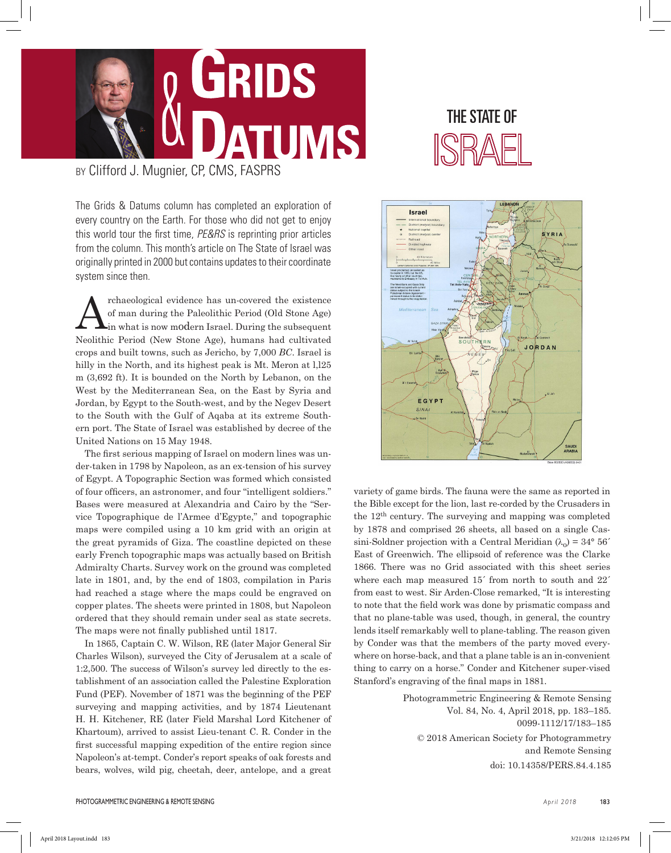

BY Clifford J. Mugnier, CP, CMS, FASPRS

The Grids & Datums column has completed an exploration of every country on the Earth. For those who did not get to enjoy this world tour the first time, *PE&RS* is reprinting prior articles from the column. This month's article on The State of Israel was originally printed in 2000 but contains updates to their coordinate system since then.

The rehaeological evidence has un-covered the existence of man during the Paleolithic Period (Old Stone Age) in what is now modern Israel. During the subsequent of man during the Paleolithic Period (Old Stone Age) in what is now modern Israel. During the subsequent Neolithic Period (New Stone Age), humans had cultivated crops and built towns, such as Jericho, by 7,000 *BC*. Israel is hilly in the North, and its highest peak is Mt. Meron at  $1,125$ m (3,692 ft). It is bounded on the North by Lebanon, on the West by the Mediterranean Sea, on the East by Syria and Jordan, by Egypt to the South-west, and by the Negev Desert to the South with the Gulf of Aqaba at its extreme Southern port. The State of Israel was established by decree of the United Nations on 15 May 1948.

The first serious mapping of Israel on modern lines was under-taken in 1798 by Napoleon, as an ex-tension of his survey of Egypt. A Topographic Section was formed which consisted of four officers, an astronomer, and four "intelligent soldiers." Bases were measured at Alexandria and Cairo by the "Service Topographique de l'Armee d'Egypte," and topographic maps were compiled using a 10 km grid with an origin at the great pyramids of Giza. The coastline depicted on these early French topographic maps was actually based on British Admiralty Charts. Survey work on the ground was completed late in 1801, and, by the end of 1803, compilation in Paris had reached a stage where the maps could be engraved on copper plates. The sheets were printed in 1808, but Napoleon ordered that they should remain under seal as state secrets. The maps were not finally published until 1817.

In 1865, Captain C. W. Wilson, RE (later Major General Sir Charles Wilson), surveyed the City of Jerusalem at a scale of 1:2,500. The success of Wilson's survey led directly to the establishment of an association called the Palestine Exploration Fund (PEF). November of 1871 was the beginning of the PEF surveying and mapping activities, and by 1874 Lieutenant H. H. Kitchener, RE (later Field Marshal Lord Kitchener of Khartoum), arrived to assist Lieu-tenant C. R. Conder in the first successful mapping expedition of the entire region since Napoleon's at-tempt. Conder's report speaks of oak forests and bears, wolves, wild pig, cheetah, deer, antelope, and a great





variety of game birds. The fauna were the same as reported in the Bible except for the lion, last re-corded by the Crusaders in the 12th century. The surveying and mapping was completed by 1878 and comprised 26 sheets, all based on a single Cassini-Soldner projection with a Central Meridian  $(\lambda_0) = 34^{\circ} 56'$ East of Greenwich. The ellipsoid of reference was the Clarke 1866. There was no Grid associated with this sheet series where each map measured 15<sup>'</sup> from north to south and 22<sup>'</sup> from east to west. Sir Arden-Close remarked, "It is interesting to note that the field work was done by prismatic compass and that no plane-table was used, though, in general, the country lends itself remarkably well to plane-tabling. The reason given by Conder was that the members of the party moved everywhere on horse-back, and that a plane table is an in-convenient thing to carry on a horse." Conder and Kitchener super-vised Stanford's engraving of the final maps in 1881.

> Photogrammetric Engineering & Remote Sensing Vol. 84, No. 4, April 2018, pp. 183–185. 0099-1112/17/183–185 © 2018 American Society for Photogrammetry and Remote Sensing doi: 10.14358/PERS.84.4.185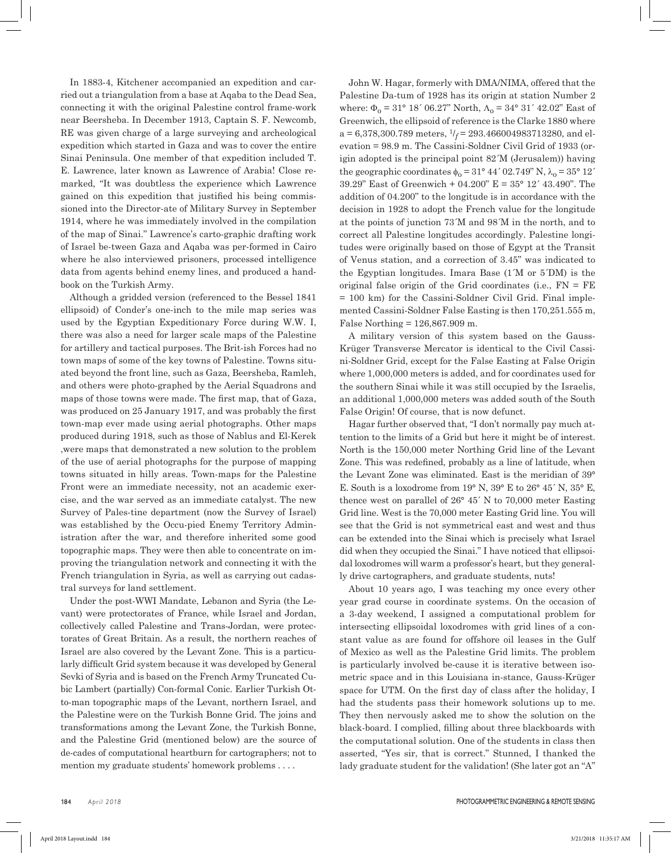In 1883-4, Kitchener accompanied an expedition and carried out a triangulation from a base at Aqaba to the Dead Sea, connecting it with the original Palestine control frame-work near Beersheba. In December 1913, Captain S. F. Newcomb, RE was given charge of a large surveying and archeological expedition which started in Gaza and was to cover the entire Sinai Peninsula. One member of that expedition included T. E. Lawrence, later known as Lawrence of Arabia! Close remarked, "It was doubtless the experience which Lawrence gained on this expedition that justified his being commissioned into the Director-ate of Military Survey in September 1914, where he was immediately involved in the compilation of the map of Sinai." Lawrence's carto-graphic drafting work of Israel be-tween Gaza and Aqaba was per-formed in Cairo where he also interviewed prisoners, processed intelligence data from agents behind enemy lines, and produced a handbook on the Turkish Army.

Although a gridded version (referenced to the Bessel 1841 ellipsoid) of Conder's one-inch to the mile map series was used by the Egyptian Expeditionary Force during W.W. I, there was also a need for larger scale maps of the Palestine for artillery and tactical purposes. The Brit-ish Forces had no town maps of some of the key towns of Palestine. Towns situated beyond the front line, such as Gaza, Beersheba, Ramleh, and others were photo-graphed by the Aerial Squadrons and maps of those towns were made. The first map, that of Gaza, was produced on 25 January 1917, and was probably the first town-map ever made using aerial photographs. Other maps produced during 1918, such as those of Nablus and El-Kerek ,were maps that demonstrated a new solution to the problem of the use of aerial photographs for the purpose of mapping towns situated in hilly areas. Town-maps for the Palestine Front were an immediate necessity, not an academic exercise, and the war served as an immediate catalyst. The new Survey of Pales-tine department (now the Survey of Israel) was established by the Occu-pied Enemy Territory Administration after the war, and therefore inherited some good topographic maps. They were then able to concentrate on improving the triangulation network and connecting it with the French triangulation in Syria, as well as carrying out cadastral surveys for land settlement.

Under the post-WWI Mandate, Lebanon and Syria (the Levant) were protectorates of France, while Israel and Jordan, collectively called Palestine and Trans-Jordan, were protectorates of Great Britain. As a result, the northern reaches of Israel are also covered by the Levant Zone. This is a particularly difficult Grid system because it was developed by General Sevki of Syria and is based on the French Army Truncated Cubic Lambert (partially) Con-formal Conic. Earlier Turkish Otto-man topographic maps of the Levant, northern Israel, and the Palestine were on the Turkish Bonne Grid. The joins and transformations among the Levant Zone, the Turkish Bonne, and the Palestine Grid (mentioned below) are the source of de-cades of computational heartburn for cartographers; not to mention my graduate students' homework problems . . . .

John W. Hagar, formerly with DMA/NIMA, offered that the Palestine Da-tum of 1928 has its origin at station Number 2 where:  $\Phi_0 = 31^{\circ} 18' 06.27''$  North,  $\Lambda_0 = 34^{\circ} 31' 42.02''$  East of Greenwich, the ellipsoid of reference is the Clarke 1880 where  $a = 6,378,300.789$  meters,  $1/*f* = 293.466004983713280$ , and elevation = 98.9 m. The Cassini-Soldner Civil Grid of 1933 (origin adopted is the principal point 82´M (Jerusalem)) having the geographic coordinates  $\phi_0 = 31^\circ 44' 02.749'' N$ ,  $\lambda_0 = 35^\circ 12'$ 39.29" East of Greenwich + 04.200" E = 35° 12´ 43.490". The addition of 04.200" to the longitude is in accordance with the decision in 1928 to adopt the French value for the longitude at the points of junction 73´M and 98´M in the north, and to correct all Palestine longitudes accordingly. Palestine longitudes were originally based on those of Egypt at the Transit of Venus station, and a correction of 3.45" was indicated to the Egyptian longitudes. Imara Base (1´M or 5´DM) is the original false origin of the Grid coordinates (i.e.,  $FN = FE$ = 100 km) for the Cassini-Soldner Civil Grid. Final implemented Cassini-Soldner False Easting is then 170,251.555 m, False Northing = 126,867.909 m.

A military version of this system based on the Gauss-Krüger Transverse Mercator is identical to the Civil Cassini-Soldner Grid, except for the False Easting at False Origin where 1,000,000 meters is added, and for coordinates used for the southern Sinai while it was still occupied by the Israelis, an additional 1,000,000 meters was added south of the South False Origin! Of course, that is now defunct.

Hagar further observed that, "I don't normally pay much attention to the limits of a Grid but here it might be of interest. North is the 150,000 meter Northing Grid line of the Levant Zone. This was redefined, probably as a line of latitude, when the Levant Zone was eliminated. East is the meridian of 39° E. South is a loxodrome from  $19^{\circ}$  N,  $39^{\circ}$  E to  $26^{\circ}$  45' N,  $35^{\circ}$  E, thence west on parallel of 26° 45´ N to 70,000 meter Easting Grid line. West is the 70,000 meter Easting Grid line. You will see that the Grid is not symmetrical east and west and thus can be extended into the Sinai which is precisely what Israel did when they occupied the Sinai." I have noticed that ellipsoidal loxodromes will warm a professor's heart, but they generally drive cartographers, and graduate students, nuts!

About 10 years ago, I was teaching my once every other year grad course in coordinate systems. On the occasion of a 3-day weekend, I assigned a computational problem for intersecting ellipsoidal loxodromes with grid lines of a constant value as are found for offshore oil leases in the Gulf of Mexico as well as the Palestine Grid limits. The problem is particularly involved be-cause it is iterative between isometric space and in this Louisiana in-stance, Gauss-Krüger space for UTM. On the first day of class after the holiday, I had the students pass their homework solutions up to me. They then nervously asked me to show the solution on the black-board. I complied, filling about three blackboards with the computational solution. One of the students in class then asserted, "Yes sir, that is correct." Stunned, I thanked the lady graduate student for the validation! (She later got an "A"